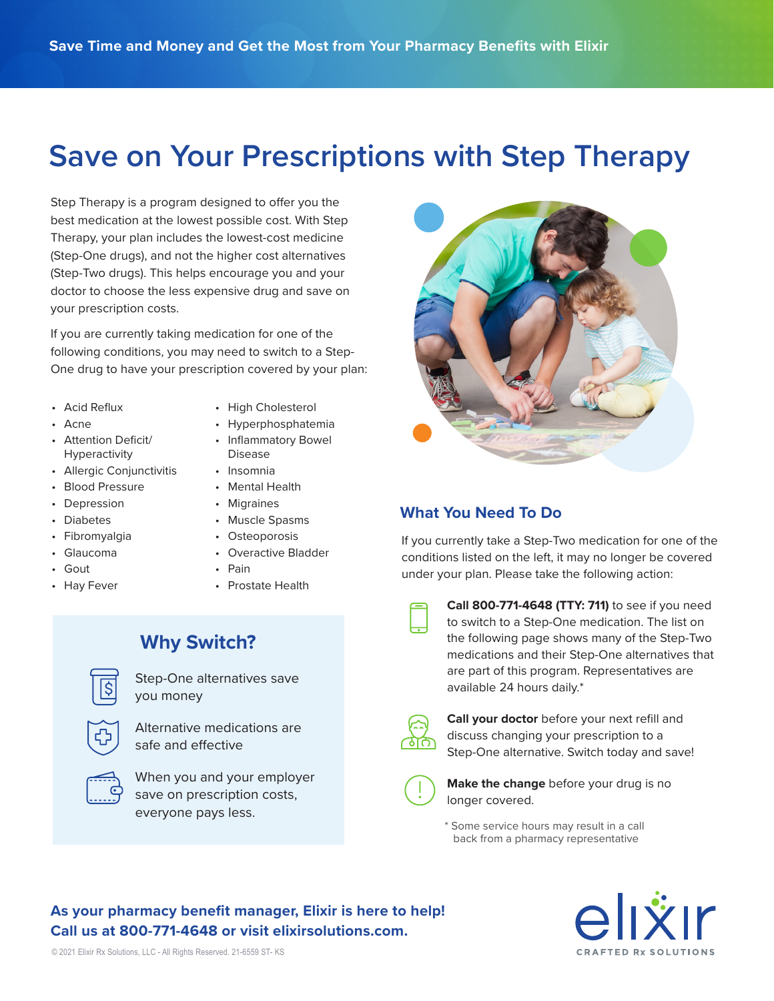# **Save on Your Prescriptions with Step Therapy**

Step Therapy is a program designed to offer you the best medication at the lowest possible cost. With Step Therapy, your plan includes the lowest-cost medicine (Step-One drugs), and not the higher cost alternatives (Step-Two drugs). This helps encourage you and your doctor to choose the less expensive drug and save on your prescription costs.

If you are currently taking medication for one of the following conditions, you may need to switch to a Step-One drug to have your prescription covered by your plan:

- Acid Reflux
- Acne
- High Cholesterol
- 
- Attention Deficit/ Hyperactivity
- Allergic Conjunctivitis
- Blood Pressure
- Depression
- Diabetes
- Fibromyalgia
- Glaucoma
- Gout
- Hay Fever
- Hyperphosphatemia
- Inflammatory Bowel Disease
- Insomnia
- Mental Health
- Migraines
- Muscle Spasms
- Osteoporosis
- Overactive Bladder
- Pain
- Prostate Health

#### **Why Switch?**



Step-One alternatives save you money

Alternative medications are safe and effective



When you and your employer save on prescription costs, everyone pays less.



#### **What You Need To Do**

If you currently take a Step-Two medication for one of the conditions listed on the left, it may no longer be covered under your plan. Please take the following action:

**Call 800-771-4648 (TTY: 711)** to see if you need to switch to a Step-One medication. The list on the following page shows many of the Step-Two medications and their Step-One alternatives that are part of this program. Representatives are available 24 hours daily.\*



**Call your doctor** before your next refill and discuss changing your prescription to a Step-One alternative. Switch today and save!



**Make the change** before your drug is no longer covered.

\* Some service hours may result in a call back from a pharmacy representative

#### **As your pharmacy benefit manager, Elixir is here to help! Call us at 800-771-4648 or visit elixirsolutions.com.**

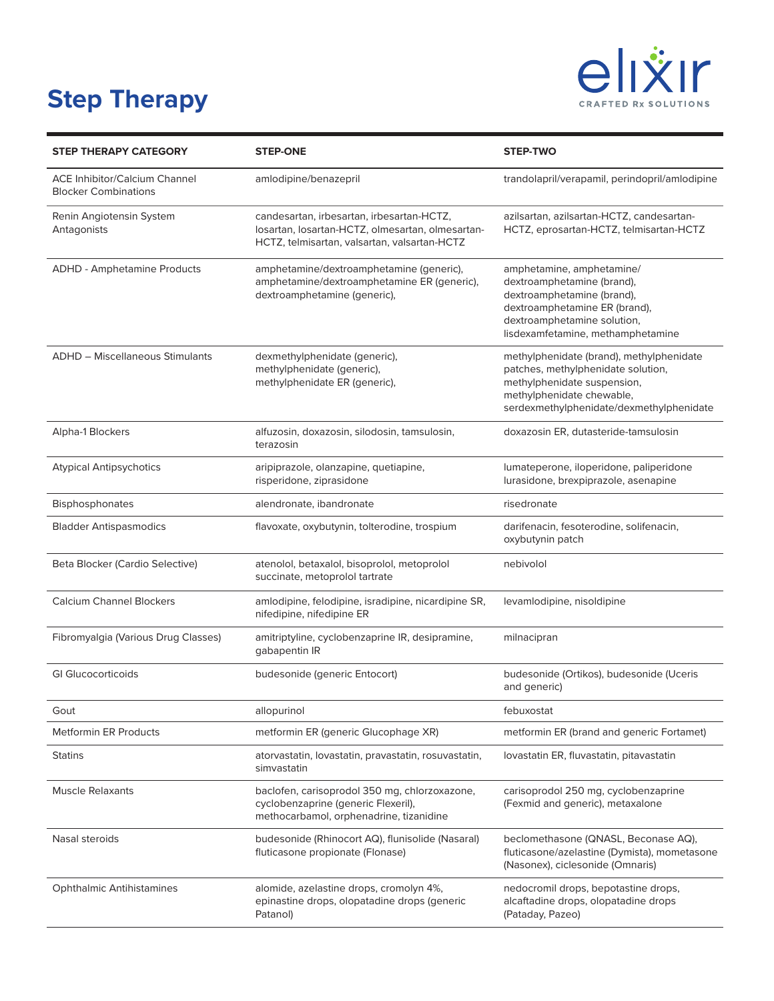## **Step Therapy**



| <b>STEP THERAPY CATEGORY</b>                                        | <b>STEP-ONE</b>                                                                                                                               | <b>STEP-TWO</b>                                                                                                                                                                            |
|---------------------------------------------------------------------|-----------------------------------------------------------------------------------------------------------------------------------------------|--------------------------------------------------------------------------------------------------------------------------------------------------------------------------------------------|
| <b>ACE Inhibitor/Calcium Channel</b><br><b>Blocker Combinations</b> | amlodipine/benazepril                                                                                                                         | trandolapril/verapamil, perindopril/amlodipine                                                                                                                                             |
| Renin Angiotensin System<br>Antagonists                             | candesartan, irbesartan, irbesartan-HCTZ,<br>Iosartan, Iosartan-HCTZ, olmesartan, olmesartan-<br>HCTZ, telmisartan, valsartan, valsartan-HCTZ | azilsartan, azilsartan-HCTZ, candesartan-<br>HCTZ, eprosartan-HCTZ, telmisartan-HCTZ                                                                                                       |
| ADHD - Amphetamine Products                                         | amphetamine/dextroamphetamine (generic),<br>amphetamine/dextroamphetamine ER (generic),<br>dextroamphetamine (generic),                       | amphetamine, amphetamine/<br>dextroamphetamine (brand),<br>dextroamphetamine (brand),<br>dextroamphetamine ER (brand),<br>dextroamphetamine solution,<br>lisdexamfetamine, methamphetamine |
| <b>ADHD - Miscellaneous Stimulants</b>                              | dexmethylphenidate (generic),<br>methylphenidate (generic),<br>methylphenidate ER (generic),                                                  | methylphenidate (brand), methylphenidate<br>patches, methylphenidate solution,<br>methylphenidate suspension,<br>methylphenidate chewable,<br>serdexmethylphenidate/dexmethylphenidate     |
| Alpha-1 Blockers                                                    | alfuzosin, doxazosin, silodosin, tamsulosin,<br>terazosin                                                                                     | doxazosin ER, dutasteride-tamsulosin                                                                                                                                                       |
| <b>Atypical Antipsychotics</b>                                      | aripiprazole, olanzapine, quetiapine,<br>risperidone, ziprasidone                                                                             | lumateperone, iloperidone, paliperidone<br>lurasidone, brexpiprazole, asenapine                                                                                                            |
| Bisphosphonates                                                     | alendronate, ibandronate                                                                                                                      | risedronate                                                                                                                                                                                |
| <b>Bladder Antispasmodics</b>                                       | flavoxate, oxybutynin, tolterodine, trospium                                                                                                  | darifenacin, fesoterodine, solifenacin,<br>oxybutynin patch                                                                                                                                |
| Beta Blocker (Cardio Selective)                                     | atenolol, betaxalol, bisoprolol, metoprolol<br>succinate, metoprolol tartrate                                                                 | nebivolol                                                                                                                                                                                  |
| <b>Calcium Channel Blockers</b>                                     | amlodipine, felodipine, isradipine, nicardipine SR,<br>nifedipine, nifedipine ER                                                              | levamlodipine, nisoldipine                                                                                                                                                                 |
| Fibromyalgia (Various Drug Classes)                                 | amitriptyline, cyclobenzaprine IR, desipramine,<br>gabapentin IR                                                                              | milnacipran                                                                                                                                                                                |
| <b>GI Glucocorticoids</b>                                           | budesonide (generic Entocort)                                                                                                                 | budesonide (Ortikos), budesonide (Uceris<br>and generic)                                                                                                                                   |
| Gout                                                                | allopurinol                                                                                                                                   | febuxostat                                                                                                                                                                                 |
| <b>Metformin ER Products</b>                                        | metformin ER (generic Glucophage XR)                                                                                                          | metformin ER (brand and generic Fortamet)                                                                                                                                                  |
| <b>Statins</b>                                                      | atorvastatin, lovastatin, pravastatin, rosuvastatin,<br>simvastatin                                                                           | lovastatin ER, fluvastatin, pitavastatin                                                                                                                                                   |
| <b>Muscle Relaxants</b>                                             | baclofen, carisoprodol 350 mg, chlorzoxazone,<br>cyclobenzaprine (generic Flexeril),<br>methocarbamol, orphenadrine, tizanidine               | carisoprodol 250 mg, cyclobenzaprine<br>(Fexmid and generic), metaxalone                                                                                                                   |
| Nasal steroids                                                      | budesonide (Rhinocort AQ), flunisolide (Nasaral)<br>fluticasone propionate (Flonase)                                                          | beclomethasone (QNASL, Beconase AQ),<br>fluticasone/azelastine (Dymista), mometasone<br>(Nasonex), ciclesonide (Omnaris)                                                                   |
| <b>Ophthalmic Antihistamines</b>                                    | alomide, azelastine drops, cromolyn 4%,<br>epinastine drops, olopatadine drops (generic<br>Patanol)                                           | nedocromil drops, bepotastine drops,<br>alcaftadine drops, olopatadine drops<br>(Pataday, Pazeo)                                                                                           |